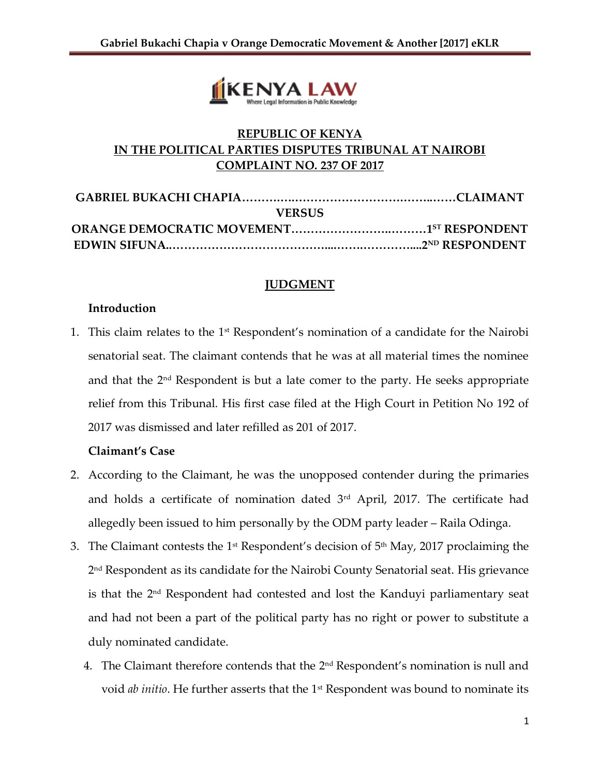

# **REPUBLIC OF KENYA IN THE POLITICAL PARTIES DISPUTES TRIBUNAL AT NAIROBI COMPLAINT NO. 237 OF 2017**

| <b>VERSUS</b> |  |
|---------------|--|
|               |  |
|               |  |
|               |  |

## **JUDGMENT**

## **Introduction**

1. This claim relates to the  $1<sup>st</sup>$  Respondent's nomination of a candidate for the Nairobi senatorial seat. The claimant contends that he was at all material times the nominee and that the  $2<sup>nd</sup>$  Respondent is but a late comer to the party. He seeks appropriate relief from this Tribunal. His first case filed at the High Court in Petition No 192 of 2017 was dismissed and later refilled as 201 of 2017.

## **Claimant's Case**

- 2. According to the Claimant, he was the unopposed contender during the primaries and holds a certificate of nomination dated  $3<sup>rd</sup>$  April, 2017. The certificate had allegedly been issued to him personally by the ODM party leader – Raila Odinga.
- 3. The Claimant contests the 1<sup>st</sup> Respondent's decision of  $5<sup>th</sup>$  May, 2017 proclaiming the 2 nd Respondent as its candidate for the Nairobi County Senatorial seat. His grievance is that the 2nd Respondent had contested and lost the Kanduyi parliamentary seat and had not been a part of the political party has no right or power to substitute a duly nominated candidate.
	- 4. The Claimant therefore contends that the  $2<sup>nd</sup>$  Respondent's nomination is null and void *ab initio*. He further asserts that the 1<sup>st</sup> Respondent was bound to nominate its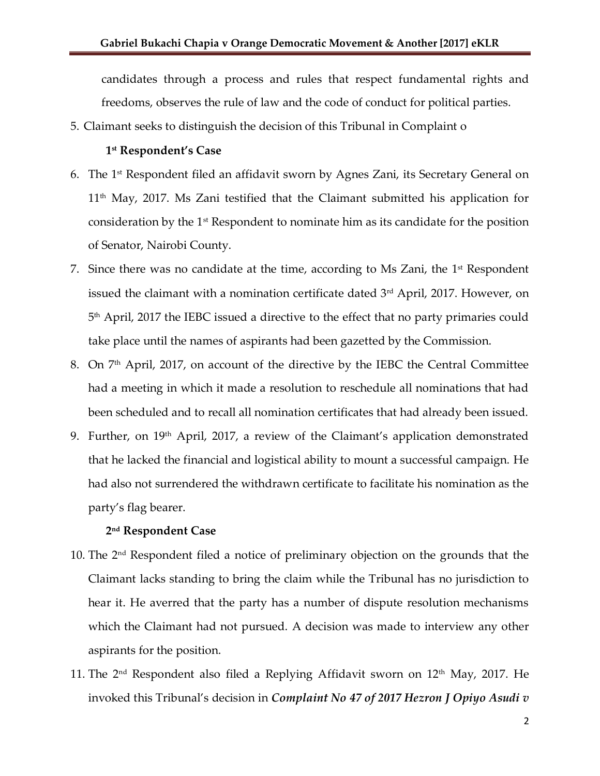candidates through a process and rules that respect fundamental rights and freedoms, observes the rule of law and the code of conduct for political parties.

5. Claimant seeks to distinguish the decision of this Tribunal in Complaint o

#### **1 st Respondent's Case**

- 6. The 1 st Respondent filed an affidavit sworn by Agnes Zani, its Secretary General on 11th May, 2017. Ms Zani testified that the Claimant submitted his application for consideration by the  $1<sup>st</sup>$  Respondent to nominate him as its candidate for the position of Senator, Nairobi County.
- 7. Since there was no candidate at the time, according to Ms Zani, the 1<sup>st</sup> Respondent issued the claimant with a nomination certificate dated 3<sup>rd</sup> April, 2017. However, on 5 th April, 2017 the IEBC issued a directive to the effect that no party primaries could take place until the names of aspirants had been gazetted by the Commission.
- 8. On 7<sup>th</sup> April, 2017, on account of the directive by the IEBC the Central Committee had a meeting in which it made a resolution to reschedule all nominations that had been scheduled and to recall all nomination certificates that had already been issued.
- 9. Further, on 19<sup>th</sup> April, 2017, a review of the Claimant's application demonstrated that he lacked the financial and logistical ability to mount a successful campaign. He had also not surrendered the withdrawn certificate to facilitate his nomination as the party's flag bearer.

#### **2 nd Respondent Case**

- 10. The  $2<sup>nd</sup>$  Respondent filed a notice of preliminary objection on the grounds that the Claimant lacks standing to bring the claim while the Tribunal has no jurisdiction to hear it. He averred that the party has a number of dispute resolution mechanisms which the Claimant had not pursued. A decision was made to interview any other aspirants for the position.
- 11. The  $2<sup>nd</sup>$  Respondent also filed a Replying Affidavit sworn on 12<sup>th</sup> May, 2017. He invoked this Tribunal's decision in *Complaint No 47 of 2017 Hezron J Opiyo Asudi v*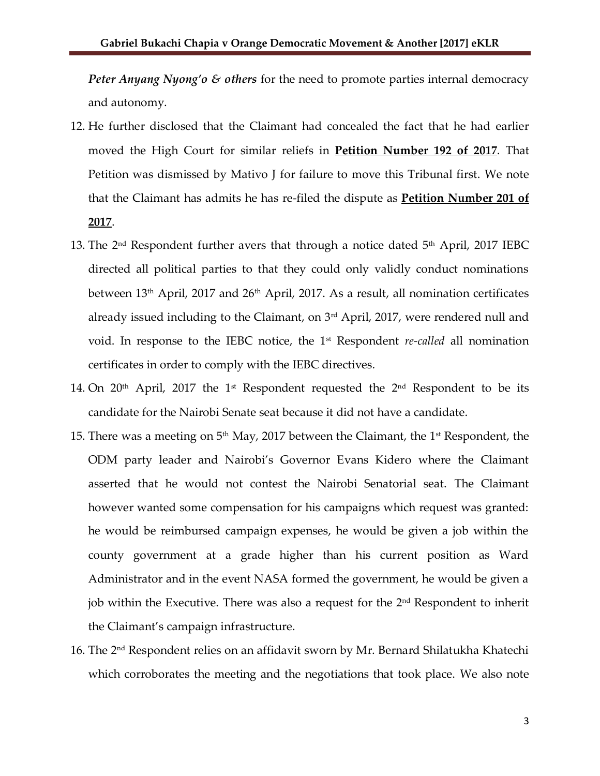*Peter Anyang Nyong'o & others* for the need to promote parties internal democracy and autonomy.

- 12. He further disclosed that the Claimant had concealed the fact that he had earlier moved the High Court for similar reliefs in **Petition Number 192 of 2017**. That Petition was dismissed by Mativo J for failure to move this Tribunal first. We note that the Claimant has admits he has re-filed the dispute as **Petition Number 201 of 2017**.
- 13. The  $2<sup>nd</sup>$  Respondent further avers that through a notice dated  $5<sup>th</sup>$  April, 2017 IEBC directed all political parties to that they could only validly conduct nominations between  $13<sup>th</sup>$  April, 2017 and  $26<sup>th</sup>$  April, 2017. As a result, all nomination certificates already issued including to the Claimant, on 3rd April, 2017, were rendered null and void. In response to the IEBC notice, the 1st Respondent *re-called* all nomination certificates in order to comply with the IEBC directives.
- 14. On 20<sup>th</sup> April, 2017 the 1st Respondent requested the 2<sup>nd</sup> Respondent to be its candidate for the Nairobi Senate seat because it did not have a candidate.
- 15. There was a meeting on  $5<sup>th</sup>$  May, 2017 between the Claimant, the 1<sup>st</sup> Respondent, the ODM party leader and Nairobi's Governor Evans Kidero where the Claimant asserted that he would not contest the Nairobi Senatorial seat. The Claimant however wanted some compensation for his campaigns which request was granted: he would be reimbursed campaign expenses, he would be given a job within the county government at a grade higher than his current position as Ward Administrator and in the event NASA formed the government, he would be given a job within the Executive. There was also a request for the 2nd Respondent to inherit the Claimant's campaign infrastructure.
- 16. The 2nd Respondent relies on an affidavit sworn by Mr. Bernard Shilatukha Khatechi which corroborates the meeting and the negotiations that took place. We also note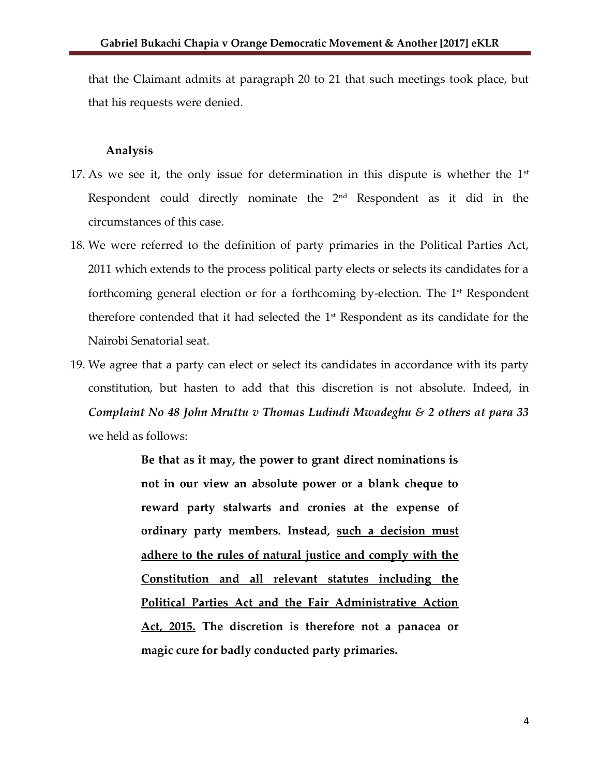that the Claimant admits at paragraph 20 to 21 that such meetings took place, but that his requests were denied.

#### **Analysis**

- 17. As we see it, the only issue for determination in this dispute is whether the  $1<sup>st</sup>$ Respondent could directly nominate the 2nd Respondent as it did in the circumstances of this case.
- 18. We were referred to the definition of party primaries in the Political Parties Act, 2011 which extends to the process political party elects or selects its candidates for a forthcoming general election or for a forthcoming by-election. The 1st Respondent therefore contended that it had selected the 1<sup>st</sup> Respondent as its candidate for the Nairobi Senatorial seat.
- 19. We agree that a party can elect or select its candidates in accordance with its party constitution, but hasten to add that this discretion is not absolute. Indeed, in *Complaint No 48 John Mruttu v Thomas Ludindi Mwadeghu & 2 others at para 33*  we held as follows:

**Be that as it may, the power to grant direct nominations is not in our view an absolute power or a blank cheque to reward party stalwarts and cronies at the expense of ordinary party members. Instead, such a decision must adhere to the rules of natural justice and comply with the Constitution and all relevant statutes including the Political Parties Act and the Fair Administrative Action Act, 2015. The discretion is therefore not a panacea or magic cure for badly conducted party primaries.**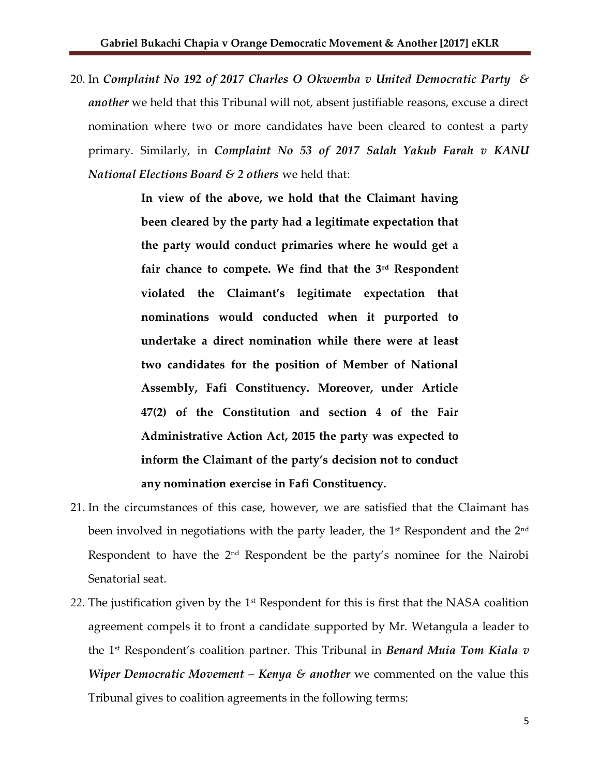20. In *Complaint No 192 of 2017 Charles O Okwemba v United Democratic Party & another* we held that this Tribunal will not, absent justifiable reasons, excuse a direct nomination where two or more candidates have been cleared to contest a party primary. Similarly, in *Complaint No 53 of 2017 Salah Yakub Farah v KANU National Elections Board & 2 others* we held that:

> **In view of the above, we hold that the Claimant having been cleared by the party had a legitimate expectation that the party would conduct primaries where he would get a fair chance to compete. We find that the 3rd Respondent violated the Claimant's legitimate expectation that nominations would conducted when it purported to undertake a direct nomination while there were at least two candidates for the position of Member of National Assembly, Fafi Constituency. Moreover, under Article 47(2) of the Constitution and section 4 of the Fair Administrative Action Act, 2015 the party was expected to inform the Claimant of the party's decision not to conduct any nomination exercise in Fafi Constituency.**

- 21. In the circumstances of this case, however, we are satisfied that the Claimant has been involved in negotiations with the party leader, the  $1<sup>st</sup>$  Respondent and the  $2<sup>nd</sup>$ Respondent to have the  $2<sup>nd</sup>$  Respondent be the party's nominee for the Nairobi Senatorial seat.
- 22. The justification given by the 1<sup>st</sup> Respondent for this is first that the NASA coalition agreement compels it to front a candidate supported by Mr. Wetangula a leader to the 1st Respondent's coalition partner. This Tribunal in *Benard Muia Tom Kiala v Wiper Democratic Movement – Kenya & another* we commented on the value this Tribunal gives to coalition agreements in the following terms: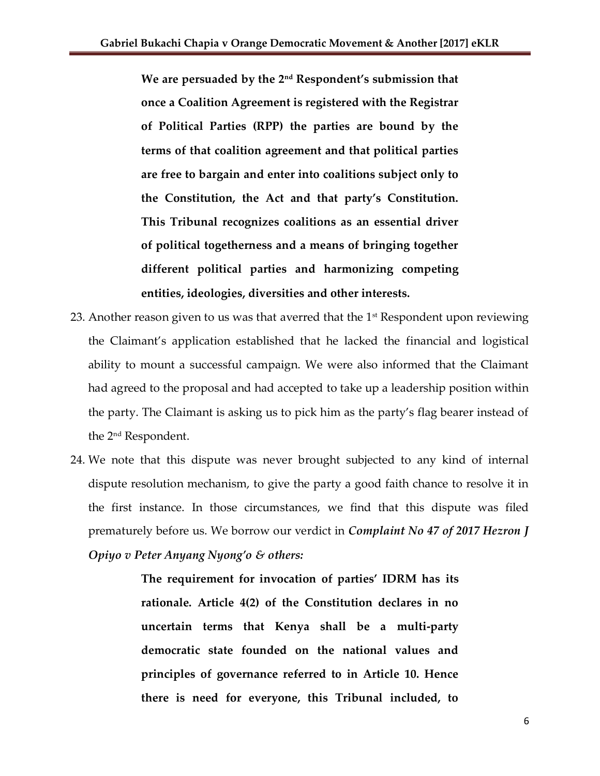**We are persuaded by the 2nd Respondent's submission that once a Coalition Agreement is registered with the Registrar of Political Parties (RPP) the parties are bound by the terms of that coalition agreement and that political parties are free to bargain and enter into coalitions subject only to the Constitution, the Act and that party's Constitution. This Tribunal recognizes coalitions as an essential driver of political togetherness and a means of bringing together different political parties and harmonizing competing entities, ideologies, diversities and other interests.**

- 23. Another reason given to us was that averred that the  $1<sup>st</sup>$  Respondent upon reviewing the Claimant's application established that he lacked the financial and logistical ability to mount a successful campaign. We were also informed that the Claimant had agreed to the proposal and had accepted to take up a leadership position within the party. The Claimant is asking us to pick him as the party's flag bearer instead of the 2nd Respondent.
- 24. We note that this dispute was never brought subjected to any kind of internal dispute resolution mechanism, to give the party a good faith chance to resolve it in the first instance. In those circumstances, we find that this dispute was filed prematurely before us. We borrow our verdict in *Complaint No 47 of 2017 Hezron J Opiyo v Peter Anyang Nyong'o & others:*

**The requirement for invocation of parties' IDRM has its rationale. Article 4(2) of the Constitution declares in no uncertain terms that Kenya shall be a multi-party democratic state founded on the national values and principles of governance referred to in Article 10. Hence there is need for everyone, this Tribunal included, to**